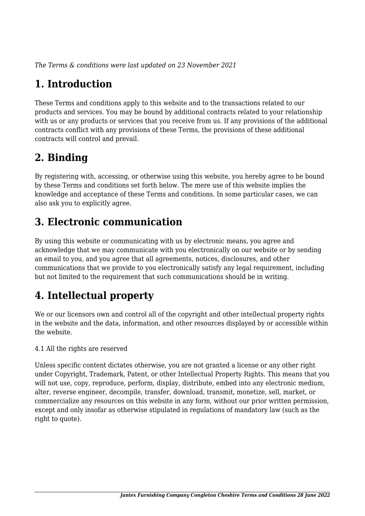*The Terms & conditions were last updated on 23 November 2021*

# **1. Introduction**

These Terms and conditions apply to this website and to the transactions related to our products and services. You may be bound by additional contracts related to your relationship with us or any products or services that you receive from us. If any provisions of the additional contracts conflict with any provisions of these Terms, the provisions of these additional contracts will control and prevail.

# **2. Binding**

By registering with, accessing, or otherwise using this website, you hereby agree to be bound by these Terms and conditions set forth below. The mere use of this website implies the knowledge and acceptance of these Terms and conditions. In some particular cases, we can also ask you to explicitly agree.

# **3. Electronic communication**

By using this website or communicating with us by electronic means, you agree and acknowledge that we may communicate with you electronically on our website or by sending an email to you, and you agree that all agreements, notices, disclosures, and other communications that we provide to you electronically satisfy any legal requirement, including but not limited to the requirement that such communications should be in writing.

# **4. Intellectual property**

We or our licensors own and control all of the copyright and other intellectual property rights in the website and the data, information, and other resources displayed by or accessible within the website.

4.1 All the rights are reserved

Unless specific content dictates otherwise, you are not granted a license or any other right under Copyright, Trademark, Patent, or other Intellectual Property Rights. This means that you will not use, copy, reproduce, perform, display, distribute, embed into any electronic medium, alter, reverse engineer, decompile, transfer, download, transmit, monetize, sell, market, or commercialize any resources on this website in any form, without our prior written permission, except and only insofar as otherwise stipulated in regulations of mandatory law (such as the right to quote).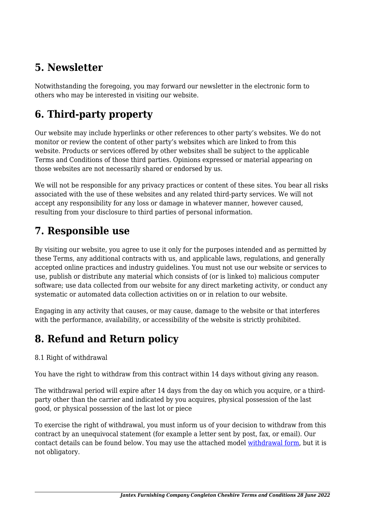# **5. Newsletter**

Notwithstanding the foregoing, you may forward our newsletter in the electronic form to others who may be interested in visiting our website.

# **6. Third-party property**

Our website may include hyperlinks or other references to other party's websites. We do not monitor or review the content of other party's websites which are linked to from this website. Products or services offered by other websites shall be subject to the applicable Terms and Conditions of those third parties. Opinions expressed or material appearing on those websites are not necessarily shared or endorsed by us.

We will not be responsible for any privacy practices or content of these sites. You bear all risks associated with the use of these websites and any related third-party services. We will not accept any responsibility for any loss or damage in whatever manner, however caused, resulting from your disclosure to third parties of personal information.

#### **7. Responsible use**

By visiting our website, you agree to use it only for the purposes intended and as permitted by these Terms, any additional contracts with us, and applicable laws, regulations, and generally accepted online practices and industry guidelines. You must not use our website or services to use, publish or distribute any material which consists of (or is linked to) malicious computer software; use data collected from our website for any direct marketing activity, or conduct any systematic or automated data collection activities on or in relation to our website.

Engaging in any activity that causes, or may cause, damage to the website or that interferes with the performance, availability, or accessibility of the website is strictly prohibited.

# **8. Refund and Return policy**

#### 8.1 Right of withdrawal

You have the right to withdraw from this contract within 14 days without giving any reason.

The withdrawal period will expire after 14 days from the day on which you acquire, or a thirdparty other than the carrier and indicated by you acquires, physical possession of the last good, or physical possession of the last lot or piece

To exercise the right of withdrawal, you must inform us of your decision to withdraw from this contract by an unequivocal statement (for example a letter sent by post, fax, or email). Our contact details can be found below. You may use the attached model [withdrawal form](https://www.jantex.co.uk/wp-content/uploads/complianz/withdrawal-forms/withdrawal-form-en.pdf), but it is not obligatory.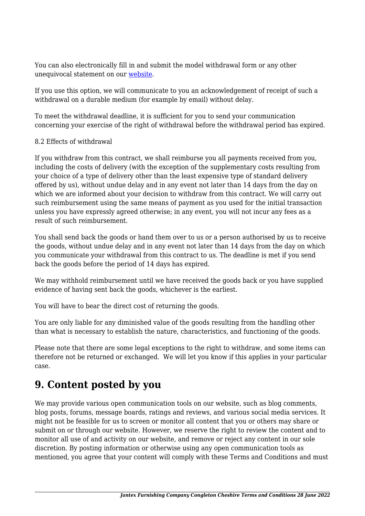You can also electronically fill in and submit the model withdrawal form or any other unequivocal statement on our [website](http://www.jantex.co.uk/contact/).

If you use this option, we will communicate to you an acknowledgement of receipt of such a withdrawal on a durable medium (for example by email) without delay.

To meet the withdrawal deadline, it is sufficient for you to send your communication concerning your exercise of the right of withdrawal before the withdrawal period has expired.

#### 8.2 Effects of withdrawal

If you withdraw from this contract, we shall reimburse you all payments received from you, including the costs of delivery (with the exception of the supplementary costs resulting from your choice of a type of delivery other than the least expensive type of standard delivery offered by us), without undue delay and in any event not later than 14 days from the day on which we are informed about your decision to withdraw from this contract. We will carry out such reimbursement using the same means of payment as you used for the initial transaction unless you have expressly agreed otherwise; in any event, you will not incur any fees as a result of such reimbursement.

You shall send back the goods or hand them over to us or a person authorised by us to receive the goods, without undue delay and in any event not later than 14 days from the day on which you communicate your withdrawal from this contract to us. The deadline is met if you send back the goods before the period of 14 days has expired.

We may withhold reimbursement until we have received the goods back or you have supplied evidence of having sent back the goods, whichever is the earliest.

You will have to bear the direct cost of returning the goods.

You are only liable for any diminished value of the goods resulting from the handling other than what is necessary to establish the nature, characteristics, and functioning of the goods.

Please note that there are some legal exceptions to the right to withdraw, and some items can therefore not be returned or exchanged. We will let you know if this applies in your particular case.

#### **9. Content posted by you**

We may provide various open communication tools on our website, such as blog comments, blog posts, forums, message boards, ratings and reviews, and various social media services. It might not be feasible for us to screen or monitor all content that you or others may share or submit on or through our website. However, we reserve the right to review the content and to monitor all use of and activity on our website, and remove or reject any content in our sole discretion. By posting information or otherwise using any open communication tools as mentioned, you agree that your content will comply with these Terms and Conditions and must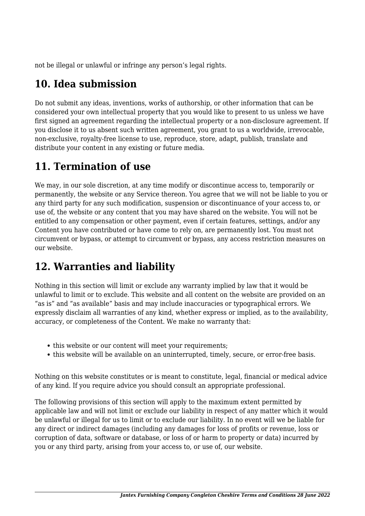not be illegal or unlawful or infringe any person's legal rights.

# **10. Idea submission**

Do not submit any ideas, inventions, works of authorship, or other information that can be considered your own intellectual property that you would like to present to us unless we have first signed an agreement regarding the intellectual property or a non-disclosure agreement. If you disclose it to us absent such written agreement, you grant to us a worldwide, irrevocable, non-exclusive, royalty-free license to use, reproduce, store, adapt, publish, translate and distribute your content in any existing or future media.

# **11. Termination of use**

We may, in our sole discretion, at any time modify or discontinue access to, temporarily or permanently, the website or any Service thereon. You agree that we will not be liable to you or any third party for any such modification, suspension or discontinuance of your access to, or use of, the website or any content that you may have shared on the website. You will not be entitled to any compensation or other payment, even if certain features, settings, and/or any Content you have contributed or have come to rely on, are permanently lost. You must not circumvent or bypass, or attempt to circumvent or bypass, any access restriction measures on our website.

# **12. Warranties and liability**

Nothing in this section will limit or exclude any warranty implied by law that it would be unlawful to limit or to exclude. This website and all content on the website are provided on an "as is" and "as available" basis and may include inaccuracies or typographical errors. We expressly disclaim all warranties of any kind, whether express or implied, as to the availability, accuracy, or completeness of the Content. We make no warranty that:

- this website or our content will meet your requirements;
- this website will be available on an uninterrupted, timely, secure, or error-free basis.

Nothing on this website constitutes or is meant to constitute, legal, financial or medical advice of any kind. If you require advice you should consult an appropriate professional.

The following provisions of this section will apply to the maximum extent permitted by applicable law and will not limit or exclude our liability in respect of any matter which it would be unlawful or illegal for us to limit or to exclude our liability. In no event will we be liable for any direct or indirect damages (including any damages for loss of profits or revenue, loss or corruption of data, software or database, or loss of or harm to property or data) incurred by you or any third party, arising from your access to, or use of, our website.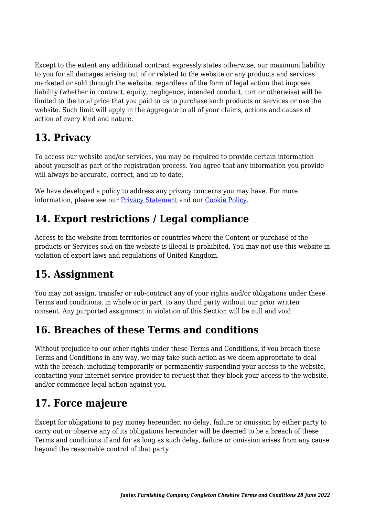Except to the extent any additional contract expressly states otherwise, our maximum liability to you for all damages arising out of or related to the website or any products and services marketed or sold through the website, regardless of the form of legal action that imposes liability (whether in contract, equity, negligence, intended conduct, tort or otherwise) will be limited to the total price that you paid to us to purchase such products or services or use the website. Such limit will apply in the aggregate to all of your claims, actions and causes of action of every kind and nature.

# **13. Privacy**

To access our website and/or services, you may be required to provide certain information about yourself as part of the registration process. You agree that any information you provide will always be accurate, correct, and up to date.

We have developed a policy to address any privacy concerns you may have. For more information, please see our [Privacy Statement](http://www.jantex.co.uk/privacy-policy/) and our [Cookie Policy](http://www.jantex.co.uk/cookie-policy-uk/).

# **14. Export restrictions / Legal compliance**

Access to the website from territories or countries where the Content or purchase of the products or Services sold on the website is illegal is prohibited. You may not use this website in violation of export laws and regulations of United Kingdom.

# **15. Assignment**

You may not assign, transfer or sub-contract any of your rights and/or obligations under these Terms and conditions, in whole or in part, to any third party without our prior written consent. Any purported assignment in violation of this Section will be null and void.

# **16. Breaches of these Terms and conditions**

Without prejudice to our other rights under these Terms and Conditions, if you breach these Terms and Conditions in any way, we may take such action as we deem appropriate to deal with the breach, including temporarily or permanently suspending your access to the website, contacting your internet service provider to request that they block your access to the website, and/or commence legal action against you.

# **17. Force majeure**

Except for obligations to pay money hereunder, no delay, failure or omission by either party to carry out or observe any of its obligations hereunder will be deemed to be a breach of these Terms and conditions if and for as long as such delay, failure or omission arises from any cause beyond the reasonable control of that party.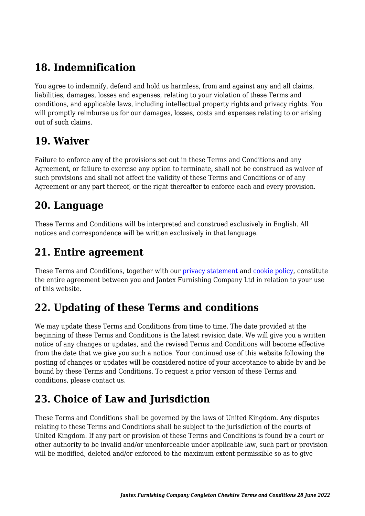# **18. Indemnification**

You agree to indemnify, defend and hold us harmless, from and against any and all claims, liabilities, damages, losses and expenses, relating to your violation of these Terms and conditions, and applicable laws, including intellectual property rights and privacy rights. You will promptly reimburse us for our damages, losses, costs and expenses relating to or arising out of such claims.

#### **19. Waiver**

Failure to enforce any of the provisions set out in these Terms and Conditions and any Agreement, or failure to exercise any option to terminate, shall not be construed as waiver of such provisions and shall not affect the validity of these Terms and Conditions or of any Agreement or any part thereof, or the right thereafter to enforce each and every provision.

#### **20. Language**

These Terms and Conditions will be interpreted and construed exclusively in English. All notices and correspondence will be written exclusively in that language.

#### **21. Entire agreement**

These Terms and Conditions, together with our *[privacy statement](http://www.jantex.co.uk/privacy-policy/)* and *cookie policy*, constitute the entire agreement between you and Jantex Furnishing Company Ltd in relation to your use of this website.

# **22. Updating of these Terms and conditions**

We may update these Terms and Conditions from time to time. The date provided at the beginning of these Terms and Conditions is the latest revision date. We will give you a written notice of any changes or updates, and the revised Terms and Conditions will become effective from the date that we give you such a notice. Your continued use of this website following the posting of changes or updates will be considered notice of your acceptance to abide by and be bound by these Terms and Conditions. To request a prior version of these Terms and conditions, please contact us.

# **23. Choice of Law and Jurisdiction**

These Terms and Conditions shall be governed by the laws of United Kingdom. Any disputes relating to these Terms and Conditions shall be subject to the jurisdiction of the courts of United Kingdom. If any part or provision of these Terms and Conditions is found by a court or other authority to be invalid and/or unenforceable under applicable law, such part or provision will be modified, deleted and/or enforced to the maximum extent permissible so as to give